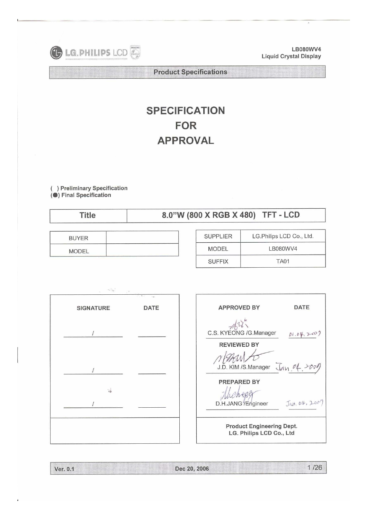

LB080WV4 **Liquid Crystal Display** 

**Product Specifications** 

# **SPECIFICATION FOR APPROVAL**

( ) Preliminary Specification<br>(●) Final Specification

**Title** 

# 8.0"W (800 X RGB X 480) TFT - LCD

| THE PAINT CONTRACT AND RESIDENCE IN THE STATE OF REAL PROPERTY.<br><b>BUYER</b> |  |
|---------------------------------------------------------------------------------|--|
| <b>MODEL</b>                                                                    |  |

| <b>SUPPLIER</b> | LG.Philips LCD Co., Ltd. |
|-----------------|--------------------------|
| <b>MODEL</b>    | LB080WV4                 |
| <b>SUFFIX</b>   | <b>TA01</b>              |



| <b>APPROVED BY</b>                                           | DATF          |  |  |  |
|--------------------------------------------------------------|---------------|--|--|--|
| C.S. KYEONG /G.Manager                                       | 01.04,2007    |  |  |  |
| <b>REVIEWED BY</b>                                           |               |  |  |  |
| rEzzul<br>J.D. KIM /S.Manager                                | Jan.04.2001   |  |  |  |
| <b>PREPARED BY</b><br>Wichen                                 |               |  |  |  |
| D.H.JANG //Engineer                                          | Jan. 04, 200' |  |  |  |
| <b>Product Engineering Dept.</b><br>LG. Philips LCD Co., Ltd |               |  |  |  |

|  | 1/26<br>Dec 20, 2006<br>Ver. 0.1 |  |
|--|----------------------------------|--|
|--|----------------------------------|--|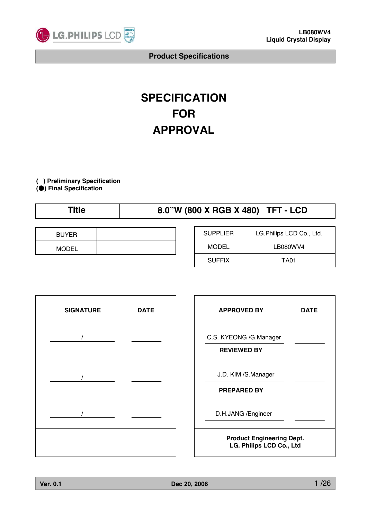

# **SPECIFICATION FOR APPROVAL**

**( ) Preliminary Specification (**̻**) Final Specification**

# **Title 8.0"W (800 X RGB X 480) TFT - LCD**

| <b>BUYER</b> |  |
|--------------|--|
| <b>MODEL</b> |  |

| <b>SUPPLIER</b> | LG. Philips LCD Co., Ltd. |
|-----------------|---------------------------|
| MODEL           | LB080WV4                  |
| <b>SUFFIX</b>   | TA01                      |



| <b>APPROVED BY</b>                                           | DATE |  |  |  |
|--------------------------------------------------------------|------|--|--|--|
| C.S. KYEONG /G.Manager<br><b>REVIEWED BY</b>                 |      |  |  |  |
| J.D. KIM /S.Manager<br><b>PREPARED BY</b>                    |      |  |  |  |
| D.H.JANG / Engineer                                          |      |  |  |  |
| <b>Product Engineering Dept.</b><br>LG. Philips LCD Co., Ltd |      |  |  |  |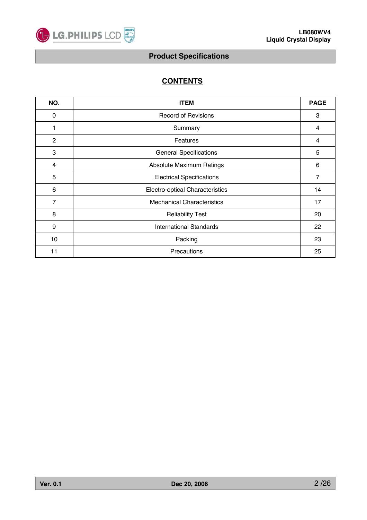

# **CONTENTS**

| NO.            | <b>ITEM</b>                       | <b>PAGE</b>    |
|----------------|-----------------------------------|----------------|
| 0              | <b>Record of Revisions</b>        | 3              |
| 1              | Summary                           | $\overline{4}$ |
| $\overline{2}$ | Features                          | $\overline{4}$ |
| 3              | <b>General Specifications</b>     | 5              |
| 4              | Absolute Maximum Ratings          | 6              |
| 5              | <b>Electrical Specifications</b>  | $\overline{7}$ |
| 6              | Electro-optical Characteristics   | 14             |
| 7              | <b>Mechanical Characteristics</b> | 17             |
| 8              | <b>Reliability Test</b>           | 20             |
| 9              | <b>International Standards</b>    | 22             |
| 10             | Packing                           | 23             |
| 11             | Precautions                       | 25             |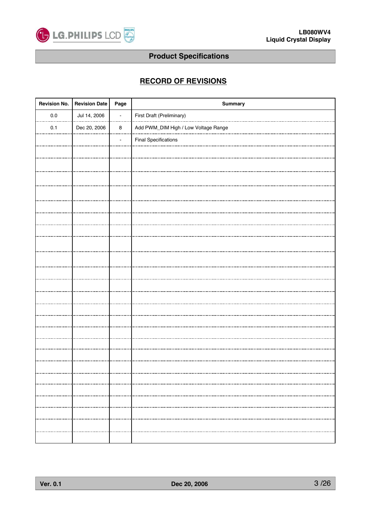

# **RECORD OF REVISIONS**

| <b>Revision No.</b> | <b>Revision Date</b> | Page           | Summary                              |
|---------------------|----------------------|----------------|--------------------------------------|
| $0.0\,$             | Jul 14, 2006         | $\blacksquare$ | First Draft (Preliminary)            |
| 0.1                 | Dec 20, 2006         | $\bf 8$        | Add PWM_DIM High / Low Voltage Range |
|                     |                      |                | <b>Final Specifications</b>          |
|                     |                      |                |                                      |
|                     |                      |                |                                      |
|                     |                      |                |                                      |
|                     |                      |                |                                      |
|                     |                      |                |                                      |
|                     |                      |                |                                      |
|                     |                      |                |                                      |
|                     |                      |                |                                      |
|                     |                      |                |                                      |
|                     |                      |                |                                      |
|                     |                      |                |                                      |
|                     |                      |                |                                      |
|                     |                      |                |                                      |
|                     |                      |                |                                      |
|                     |                      |                |                                      |
|                     |                      |                |                                      |
|                     |                      |                |                                      |
|                     |                      |                |                                      |
|                     |                      |                |                                      |
|                     |                      |                |                                      |
|                     |                      |                |                                      |
|                     |                      |                |                                      |
|                     |                      |                |                                      |
|                     |                      |                |                                      |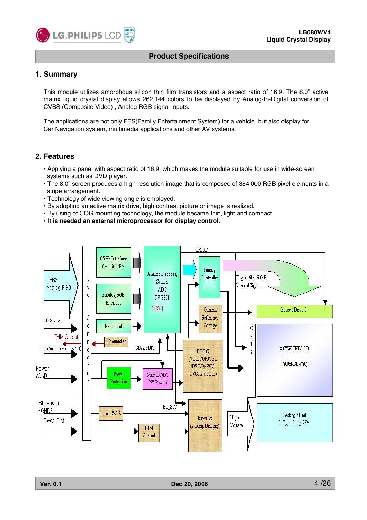

### **1. Summary**

This module utilizes amorphous silicon thin film transistors and a aspect ratio of 16:9. The 8.0" active matrix liquid crystal display allows 262,144 colors to be displayed by Analog-to-Digital conversion of CVBS (Composite Video) , Analog RGB signal inputs.

The applications are not only FES(Family Entertainment System) for a vehicle, but also display for Car Navigation system, multimedia applications and other AV systems.

#### **2. Features**

- Applying a panel with aspect ratio of 16:9, which makes the module suitable for use in wide-screen systems such as DVD player.
- The 8.0" screen produces a high resolution image that is composed of 384,000 RGB pixel elements in a stripe arrangement.
- Technology of wide viewing angle is employed.
- By adopting an active matrix drive, high contrast picture or image is realized.
- By using of COG mounting technology, the module became thin, light and compact.
- **It is needed an external microprocessor for display control.**

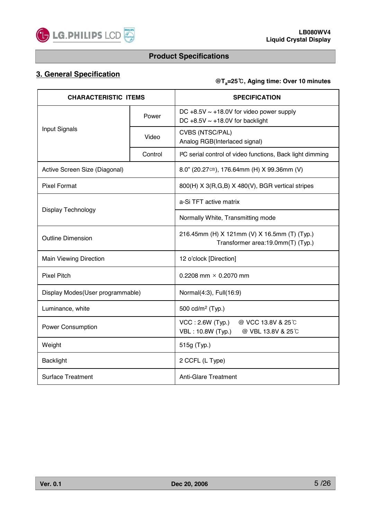

# **3. General Specification**

### **@Ta=25, Aging time: Over 10 minutes**

| <b>CHARACTERISTIC ITEMS</b>                             |         | <b>SPECIFICATION</b>                                                                   |  |  |
|---------------------------------------------------------|---------|----------------------------------------------------------------------------------------|--|--|
|                                                         | Power   | DC +8.5V $\sim$ +18.0V for video power supply<br>DC +8.5V $\sim$ +18.0V for backlight  |  |  |
| Input Signals                                           | Video   | CVBS (NTSC/PAL)<br>Analog RGB(Interlaced signal)                                       |  |  |
|                                                         | Control | I <sup>2</sup> C serial control of video functions, Back light dimming                 |  |  |
| Active Screen Size (Diagonal)                           |         | 8.0" (20.27cm), 176.64mm (H) X 99.36mm (V)                                             |  |  |
| <b>Pixel Format</b>                                     |         | 800(H) X 3(R,G,B) X 480(V), BGR vertical stripes                                       |  |  |
|                                                         |         | a-Si TFT active matrix                                                                 |  |  |
| <b>Display Technology</b>                               |         | Normally White, Transmitting mode                                                      |  |  |
| <b>Outline Dimension</b>                                |         | 216.45mm (H) X 121mm (V) X 16.5mm (T) (Typ.)<br>Transformer area:19.0mm(T) (Typ.)      |  |  |
| <b>Main Viewing Direction</b>                           |         | 12 o'clock [Direction]                                                                 |  |  |
| <b>Pixel Pitch</b>                                      |         | 0.2208 mm $\times$ 0.2070 mm                                                           |  |  |
| Display Modes(User programmable)                        |         | Normal(4:3), Full(16:9)                                                                |  |  |
| Luminance, white                                        |         | 500 cd/m <sup>2</sup> (Typ.)                                                           |  |  |
| <b>Power Consumption</b>                                |         | $VCC$ : 2.6W (Typ.)<br>@ VCC 13.8V & 25 °C<br>VBL: 10.8W (Typ.)<br>@ VBL 13.8V & 25 °C |  |  |
| Weight                                                  |         | 515g (Typ.)                                                                            |  |  |
| <b>Backlight</b>                                        |         | 2 CCFL (L Type)                                                                        |  |  |
| <b>Surface Treatment</b><br><b>Anti-Glare Treatment</b> |         |                                                                                        |  |  |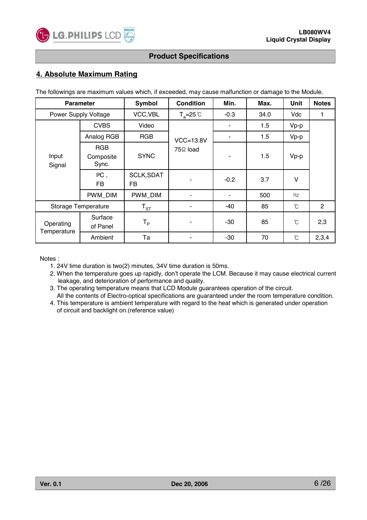

### **4. Absolute Maximum Rating**

The followings are maximum values which, if exceeded, may cause malfunction or damage to the Module.

| <b>Parameter</b>         |                                  | Symbol                   | <b>Condition</b>     | Min.   | Max. | Unit                 | <b>Notes</b>   |
|--------------------------|----------------------------------|--------------------------|----------------------|--------|------|----------------------|----------------|
|                          | Power Supply Voltage             | VCC, VBL                 | $T_a = 25^{\circ}C$  | $-0.3$ | 34.0 | Vdc                  | 1              |
|                          | <b>CVBS</b>                      | Video                    |                      | ۰      | 1.5  | $Vp-p$               |                |
|                          | Analog RGB                       | <b>RGB</b>               | $VCC=13.8V$          | ۰      | 1.5  | $Vp-p$               |                |
| Input<br>Signal          | <b>RGB</b><br>Composite<br>Sync. | <b>SYNC</b>              | 75 <sup>Ω</sup> load | ۰      | 1.5  | $Vp-p$               |                |
|                          | PC,<br>FB.                       | <b>SCLK, SDAT</b><br>FB  |                      | $-0.2$ | 3.7  | $\vee$               |                |
|                          | PWM_DIM                          | PWM_DIM                  |                      | ۰      | 500  | Hz                   |                |
| Storage Temperature      |                                  | $\mathsf{T}_{\text{ST}}$ |                      | -40    | 85   | $\mathrm{C}$         | $\overline{2}$ |
| Operating<br>Temperature | Surface<br>of Panel              | $\mathsf{T}_\mathsf{P}$  |                      | $-30$  | 85   | °C                   | 2,3            |
|                          | Ambient                          | Ta                       |                      | $-30$  | 70   | $\mathrm{C}^{\circ}$ | 2,3,4          |

Notes :

- 1. 24V time duration is two(2) minutes, 34V time duration is 50ms.
- 2. When the temperature goes up rapidly, don't operate the LCM. Because it may cause electrical current leakage, and deterioration of performance and quality.
- 3. The operating temperature means that LCD Module guarantees operation of the circuit.
- All the contents of Electro-optical specifications are guaranteed under the room temperature condition. 4. This temperature is ambient temperature with regard to the heat which is generated under operation
	- of circuit and backlight on.(reference value)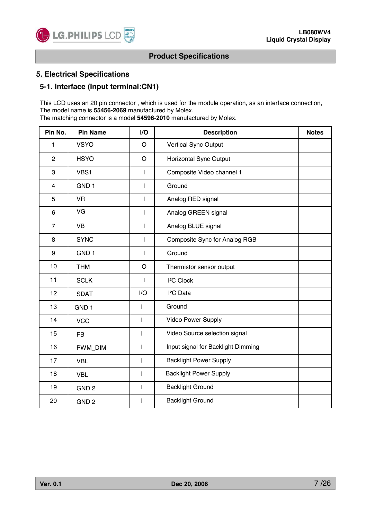

### **5. Electrical Specifications**

### **5-1. Interface (Input terminal:CN1)**

This LCD uses an 20 pin connector , which is used for the module operation, as an interface connection, The model name is **55456-2069** manufactured by Molex.

The matching connector is a model **54596-2010** manufactured by Molex.

| Pin No.                 | <b>Pin Name</b>  | I/O                      | <b>Description</b>                 | <b>Notes</b> |
|-------------------------|------------------|--------------------------|------------------------------------|--------------|
| 1                       | <b>VSYO</b>      | $\circ$                  | Vertical Sync Output               |              |
| $\overline{2}$          | <b>HSYO</b>      | $\circ$                  | Horizontal Sync Output             |              |
| 3                       | VBS1             | $\mathbf{I}$             | Composite Video channel 1          |              |
| $\overline{\mathbf{4}}$ | GND <sub>1</sub> | $\mathsf{I}$             | Ground                             |              |
| 5                       | <b>VR</b>        | I                        | Analog RED signal                  |              |
| 6                       | VG               | $\mathsf{I}$             | Analog GREEN signal                |              |
| $\overline{7}$          | <b>VB</b>        | I                        | Analog BLUE signal                 |              |
| 8                       | <b>SYNC</b>      | $\mathsf{I}$             | Composite Sync for Analog RGB      |              |
| 9                       | GND <sub>1</sub> | $\mathbf{I}$             | Ground                             |              |
| 10                      | <b>THM</b>       | $\circ$                  | Thermistor sensor output           |              |
| 11                      | <b>SCLK</b>      | $\mathbf{I}$             | <sup>2</sup> C Clock               |              |
| 12                      | <b>SDAT</b>      | I/O                      | <sup>2</sup> C Data                |              |
| 13                      | GND <sub>1</sub> | I                        | Ground                             |              |
| 14                      | <b>VCC</b>       | $\mathbf{I}$             | Video Power Supply                 |              |
| 15                      | <b>FB</b>        | $\overline{\phantom{a}}$ | Video Source selection signal      |              |
| 16                      | PWM_DIM          | I                        | Input signal for Backlight Dimming |              |
| 17                      | <b>VBL</b>       | $\overline{\phantom{a}}$ | <b>Backlight Power Supply</b>      |              |
| 18                      | <b>VBL</b>       | $\mathsf I$              | <b>Backlight Power Supply</b>      |              |
| 19                      | GND <sub>2</sub> | $\mathbf{I}$             | <b>Backlight Ground</b>            |              |
| 20                      | GND <sub>2</sub> | $\mathsf{I}$             | <b>Backlight Ground</b>            |              |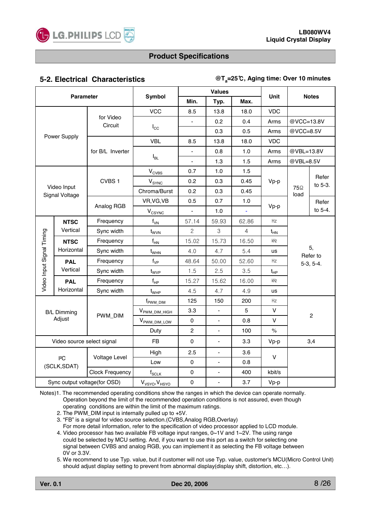

### **5-2. Electrical Characteristics**

#### **@Ta=25, Aging time: Over 10 minutes**

| <b>Parameter</b>                        |                               |                        |                                        |                     | <b>Values</b>  |                |             | <b>Notes</b>                   |                  |
|-----------------------------------------|-------------------------------|------------------------|----------------------------------------|---------------------|----------------|----------------|-------------|--------------------------------|------------------|
|                                         |                               |                        | Symbol                                 | Min.                | Typ.           | Max.           | Unit        |                                |                  |
|                                         |                               |                        | <b>VCC</b>                             | 8.5                 | 13.8           | 18.0           | <b>VDC</b>  |                                |                  |
|                                         |                               | for Video<br>Circuit   |                                        |                     | 0.2            | 0.4            | Arms        | @VCC=13.8V                     |                  |
| Power Supply                            |                               |                        | $I_{\rm CC}$                           |                     | 0.3            | 0.5            | Arms        | @VCC=8.5V                      |                  |
|                                         |                               |                        | <b>VBL</b>                             | 8.5                 | 13.8           | 18.0           | <b>VDC</b>  |                                |                  |
|                                         |                               | for B/L Inverter       |                                        | $\blacksquare$      | 0.8            | 1.0            | Arms        | @VBL=13.8V                     |                  |
|                                         |                               |                        | $I_{BL}$                               | L.                  | 1.3            | 1.5            | Arms        | @VBL=8.5V                      |                  |
|                                         |                               |                        | $V_{CVBS}$                             | 0.7                 | 1.0            | 1.5            |             |                                |                  |
|                                         |                               | CVBS <sub>1</sub>      | V <sub>SYNC</sub>                      | 0.2                 | 0.3            | 0.45           | Vp-p        |                                | Refer<br>to 5-3. |
|                                         | Video Input<br>Signal Voltage |                        | Chroma/Burst                           | 0.2                 | 0.3            | 0.45           |             | <b>75</b> <sup>2</sup><br>load |                  |
|                                         |                               |                        | VR, VG, VB                             | 0.5                 | 0.7            | 1.0            |             |                                | Refer            |
|                                         |                               | Analog RGB             | <b>VCSYNC</b>                          |                     | 1.0            |                | Vp-p        |                                | to 5-4.          |
| <b>NTSC</b>                             |                               | Frequency              | $f_{VN}$                               | 57.14               | 59.93          | 62.86          | Hz          |                                |                  |
|                                         | Vertical                      | Sync width             | $t_{\rm WVN}$                          | $\overline{c}$      | $\mathsf 3$    | $\overline{4}$ | $t_{HN}$    |                                |                  |
|                                         | <b>NTSC</b><br>Horizontal     | Frequency              | $f_{HN}$                               | 15.02               | 15.73          | 16.50          | kHz         |                                |                  |
|                                         |                               | Sync width             | $t_{\rm WHN}$                          | 4.0                 | 4.7            | 5.4            | <b>us</b>   |                                | 5,               |
| <b>PAL</b>                              |                               | Frequency              | $\mathsf{f}_\mathsf{VP}$               | 48.64               | 50.00          | 52.60          | Hz          | Refer to<br>$5-3, 5-4.$        |                  |
|                                         | Vertical                      | Sync width             | t <sub>wvP</sub>                       | 1.5                 | 2.5            | 3.5            | $t_{HP}$    |                                |                  |
| Video Input Signal Timing<br><b>PAL</b> |                               | Frequency              | $\mathsf{f}_{\mathsf{HP}}$             | 15.27               | 15.62          | 16.00          | kHz         |                                |                  |
|                                         | Horizontal                    | Sync width             | $t_{\scriptscriptstyle{\mathrm{WHP}}}$ | 4.5                 | 4.7            | 4.9            | <b>us</b>   |                                |                  |
|                                         |                               |                        | f <sub>PWM_DIM</sub>                   | 125                 | 150            | 200            | Hz          |                                |                  |
|                                         | <b>B/L Dimming</b>            |                        | V <sub>PWM_DIM_HIGH</sub>              | 3.3                 |                | 5              | $\vee$      | $\overline{2}$                 |                  |
|                                         | Adjust                        | PWM_DIM                | V <sub>PWM_DIM_LOW</sub>               | $\pmb{0}$           | ÷.             | 0.8            | V           |                                |                  |
|                                         |                               |                        | Duty                                   | $\overline{c}$      | ÷.             | 100            | $\%$        |                                |                  |
|                                         | Video source select signal    |                        | <b>FB</b>                              | $\mathbf 0$         | $\blacksquare$ | 3.3            | Vp-p        |                                | 3,4              |
|                                         |                               |                        | High                                   | 2.5                 |                | 3.6            | $\mathsf V$ |                                |                  |
|                                         | 2C<br>(SCLK, SDAT)            | Voltage Level          | Low                                    | $\pmb{0}$           | L.             | 0.8            |             |                                |                  |
|                                         |                               | <b>Clock Frequency</b> | $\mathsf{f}_{\mathsf{SCLK}}$           | $\mathbf 0$         |                | 400            | kbit/s      |                                |                  |
| Sync output voltage(for OSD)            |                               |                        | $V_{VSYO}$ , $V_{HSYO}$                | $\mathsf{O}\xspace$ | L.             | 3.7            | Vp-p        |                                |                  |

Notes)1. The recommended operating conditions show the ranges in which the device can operate normally. Operation beyond the limit of the recommended operation conditions is not assured, even though operating conditions are within the limit of the maximum ratings.

2. The PWM\_DIM input is internally pulled up to +5V.

3. "FB" is a signal for video source selection.(CVBS,Analog RGB,Overlay) For more detail information, refer to the specification of video processor applied to LCD module.

4. Video processor has two available FB voltage input ranges, 0~1V and 1~2V. The using range could be selected by MCU setting. And, if you want to use this port as a switch for selecting one signal between CVBS and analog RGB, you can implement it as selecting the FB voltage between 0V or 3.3V.

5. We recommend to use Typ. value, but if customer will not use Typ. value, customer's MCU(Micro Control Unit) should adjust display setting to prevent from abnormal display(display shift, distortion, etc...).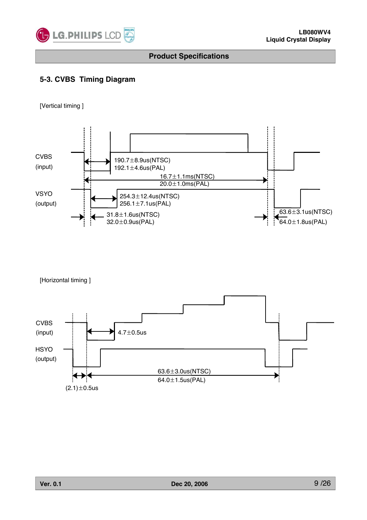

# **5-3. CVBS Timing Diagram**

[Vertical timing ]



[Horizontal timing ]

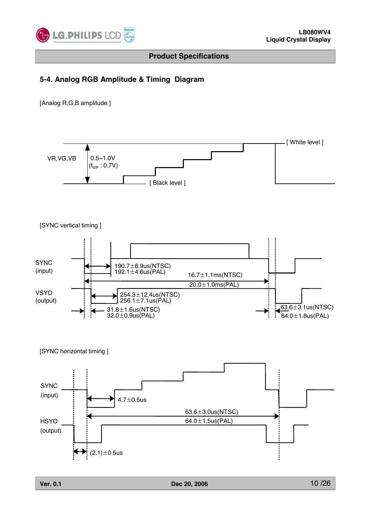

### **5-4. Analog RGB Amplitude & Timing Diagram**

[Analog R,G,B amplitude ]

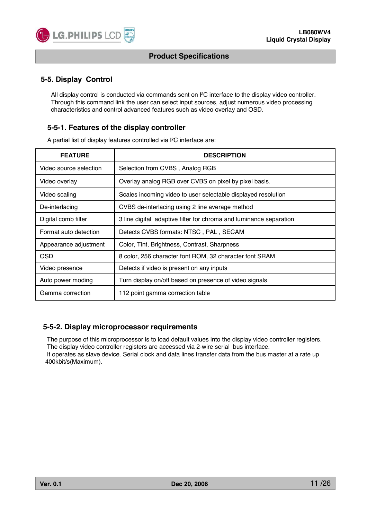

### **5-5. Display Control**

**C** LG. PHILIPS LCD

All display control is conducted via commands sent on I²C interface to the display video controller. Through this command link the user can select input sources, adjust numerous video processing characteristics and control advanced features such as video overlay and OSD.

### **5-5-1. Features of the display controller**

A partial list of display features controlled via I²C interface are:

| <b>FEATURE</b>         | <b>DESCRIPTION</b>                                                 |
|------------------------|--------------------------------------------------------------------|
| Video source selection | Selection from CVBS, Analog RGB                                    |
| Video overlay          | Overlay analog RGB over CVBS on pixel by pixel basis.              |
| Video scaling          | Scales incoming video to user selectable displayed resolution      |
| De-interlacing         | CVBS de-interlacing using 2 line average method                    |
| Digital comb filter    | 3 line digital adaptive filter for chroma and luminance separation |
| Format auto detection  | Detects CVBS formats: NTSC, PAL, SECAM                             |
| Appearance adjustment  | Color, Tint, Brightness, Contrast, Sharpness                       |
| OSD                    | 8 color, 256 character font ROM, 32 character font SRAM            |
| Video presence         | Detects if video is present on any inputs                          |
| Auto power moding      | Turn display on/off based on presence of video signals             |
| Gamma correction       | 112 point gamma correction table                                   |

#### **5-5-2. Display microprocessor requirements**

The purpose of this microprocessor is to load default values into the display video controller registers. The display video controller registers are accessed via 2-wire serial bus interface. It operates as slave device. Serial clock and data lines transfer data from the bus master at a rate up 400kbit/s(Maximum).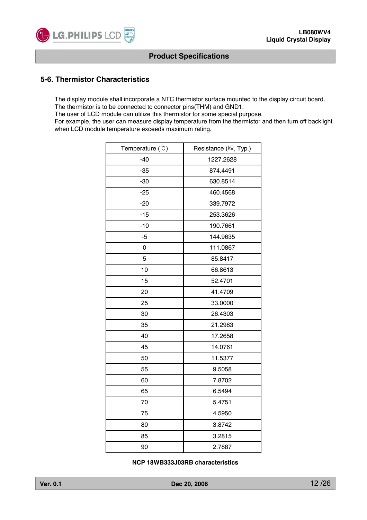

### **5-6. Thermistor Characteristics**

The display module shall incorporate a NTC thermistor surface mounted to the display circuit board. The thermistor is to be connected to connector pins(THM) and GND1.

The user of LCD module can utilize this thermistor for some special purpose.

For example, the user can measure display temperature from the thermistor and then turn off backlight when LCD module temperature exceeds maximum rating.

| Temperature (°C) | Resistance (kQ2, Typ.) |
|------------------|------------------------|
| $-40$            | 1227.2628              |
| $-35$            | 874.4491               |
| $-30$            | 630.8514               |
| $-25$            | 460.4568               |
| $-20$            | 339.7972               |
| $-15$            | 253.3626               |
| $-10$            | 190.7661               |
| $-5$             | 144.9635               |
| 0                | 111.0867               |
| 5                | 85.8417                |
| 10               | 66.8613                |
| 15               | 52.4701                |
| 20               | 41.4709                |
| 25               | 33.0000                |
| 30               | 26.4303                |
| 35               | 21.2983                |
| 40               | 17.2658                |
| 45               | 14.0761                |
| 50               | 11.5377                |
| 55               | 9.5058                 |
| 60               | 7.8702                 |
| 65               | 6.5494                 |
| 70               | 5.4751                 |
| 75               | 4.5950                 |
| 80               | 3.8742                 |
| 85               | 3.2815                 |
| 90               | 2.7887                 |

**NCP 18WB333J03RB characteristics**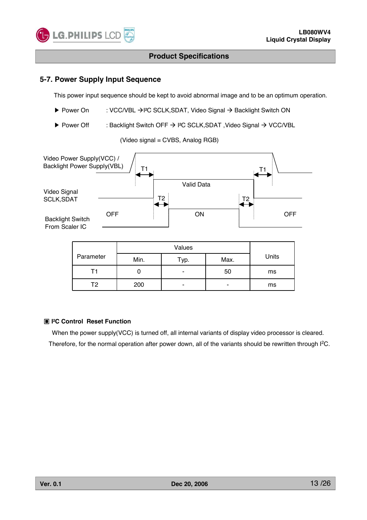

### **5-7. Power Supply Input Sequence**

This power input sequence should be kept to avoid abnormal image and to be an optimum operation.

- ▶ Power On : VCC/VBL  $\rightarrow$  I<sup>2</sup>C SCLK, SDAT, Video Signal  $\rightarrow$  Backlight Switch ON
- ▶ Power Off : Backlight Switch OFF  $\rightarrow$  I<sup>2</sup>C SCLK,SDAT , Video Signal  $\rightarrow$  VCC/VBL

(Video signal = CVBS, Analog RGB)



|           | Values |      |      |       |  |  |  |  |  |
|-----------|--------|------|------|-------|--|--|--|--|--|
| Parameter | Min.   | тур. | Max. | Units |  |  |  |  |  |
|           |        | -    | 50   | ms    |  |  |  |  |  |
| Т2        | 200    | -    | ۰    | ms    |  |  |  |  |  |

#### ඟ **I²C Control Reset Function**

When the power supply(VCC) is turned off, all internal variants of display video processor is cleared. Therefore, for the normal operation after power down, all of the variants should be rewritten through I<sup>2</sup>C.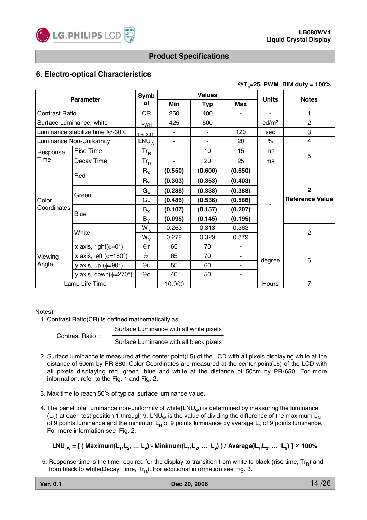

### **6. Electro-optical Characteristics**

#### **@Ta=25, PWM\_DIM duty = 100%**

| <b>Parameter</b>      |                                     | Symb                                            |                | <b>Values</b>            |                              | <b>Units</b>      | <b>Notes</b>           |
|-----------------------|-------------------------------------|-------------------------------------------------|----------------|--------------------------|------------------------------|-------------------|------------------------|
|                       |                                     | οl                                              | Min            | <b>Typ</b>               | Max                          |                   |                        |
| <b>Contrast Ratio</b> |                                     | CR                                              | 250            | 400                      |                              | ÷                 | 1                      |
|                       | Surface Luminance, white            | L <sub>WН</sub>                                 | 425            | 500                      | $\blacksquare$               | cd/m <sup>2</sup> | $\overline{2}$         |
|                       | Luminance stabilize time @-30°C     | $\mathsf{t}_{\textsf{LS}(\text{-}30\text{°C})}$ |                |                          | 120                          | sec               | 3                      |
|                       | Luminance Non-Uniformity            | $LNU_{W}$                                       | $\blacksquare$ |                          | 20                           | $\%$              | 4                      |
| Response              | <b>Rise Time</b>                    | $Tr_R$                                          | $\blacksquare$ | 10                       | 15                           | ms                | 5                      |
| Time                  | Decay Time                          | $\mathsf{Tr}_{\mathsf{D}}$                      | $\blacksquare$ | 20                       | 25                           | ms                |                        |
|                       |                                     | $R_{\rm X}$                                     | (0.550)        | (0.600)                  | (0.650)                      |                   |                        |
|                       | Red                                 | $R_Y$                                           | (0.303)        | (0.353)                  | (0.403)                      |                   |                        |
|                       | Green                               | $G_X$                                           | (0.288)        | (0.338)                  | (0.388)                      |                   | $\mathbf 2$            |
| Color                 |                                     | $G_{Y}$                                         | (0.486)        | (0.536)                  | (0.586)                      |                   | <b>Reference Value</b> |
| Coordinates           | Blue                                | $B_X$                                           | (0.107)        | (0.157)                  | (0.207)                      |                   |                        |
|                       |                                     | $B_Y$                                           | (0.095)        | (0.145)                  | (0.195)                      |                   |                        |
|                       | White                               | $W_X$                                           | 0.263          | 0.313                    | 0.363                        |                   | $\overline{2}$         |
|                       |                                     | $W_{Y}$                                         | 0.279          | 0.329                    | 0.379                        |                   |                        |
|                       | x axis, right( $\phi = 0^{\circ}$ ) | $\Theta$ r                                      | 65             | 70                       |                              |                   |                        |
| Viewing               | x axis, left $(\phi=180^\circ)$     | $\Theta$                                        | 65             | 70                       | $\qquad \qquad \blacksquare$ | degree            | $\,6$                  |
| Angle                 | y axis, up $(\phi = 90^\circ)$      | $\Theta$ u                                      | 55             | 60                       | $\blacksquare$               |                   |                        |
|                       | y axis, down $(\phi = 270^{\circ})$ | $\Theta$ d                                      | 40             | 50                       | ٠                            |                   |                        |
|                       | Lamp Life Time                      | $\overline{\phantom{a}}$                        | 10,000         | $\overline{\phantom{0}}$ |                              | Hours             | $\overline{7}$         |

#### Notes)

1. Contrast Ratio(CR) is defined mathematically as

Surface Luminance with all white pixels

Contrast Ratio =

Surface Luminance with all black pixels

- 2. Surface luminance is measured at the center point(L5) of the LCD with all pixels displaying white at the distance of 50cm by PR-880. Color Coordinates are measured at the center point(L5) of the LCD with all pixels displaying red, green, blue and white at the distance of 50cm by PR-650. For more information, refer to the Fig. 1 and Fig. 2.
- 3. Max time to reach 50% of typical surface luminance value.
- 4. The panel total luminance non-uniformity of white(LNU<sub>W</sub>) is determined by measuring the luminance  $(L_N)$  at each test position 1 through 9. LNU<sub>W</sub> is the value of dividing the difference of the maximum L<sub>N</sub> of 9 points luminance and the minimum  $L_N$  of 9 points luminance by average  $L_N$  of 9 points luminance. For more information see Fig. 2.

**LNU W = [ ( Maximum(L1,L2, … L9) - Minimum(L1,L2, … L9) ) / Average(L1,L2, … L9) ]** Ý **100%**

5. Response time is the time required for the display to transition from white to black (rise time,  $Tr_R$ ) and from black to white(Decay Time,  $Tr_D$ ). For additional information see Fig. 3.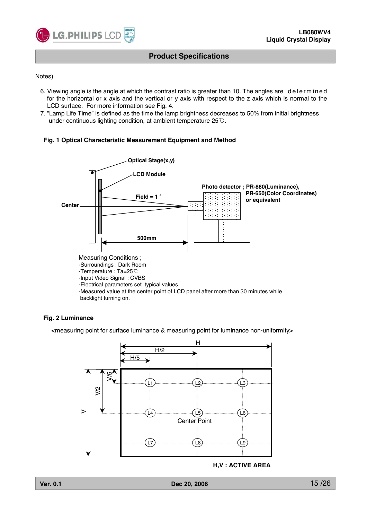

Notes)

- 6. Viewing angle is the angle at which the contrast ratio is greater than 10. The angles are determined for the horizontal or x axis and the vertical or y axis with respect to the z axis which is normal to the LCD surface. For more information see Fig. 4.
- 7. "Lamp Life Time" is defined as the time the lamp brightness decreases to 50% from initial brightness under continuous lighting condition, at ambient temperature  $25^{\circ}$ C.

#### **Fig. 1 Optical Characteristic Measurement Equipment and Method**



#### **Fig. 2 Luminance**

<measuring point for surface luminance & measuring point for luminance non-uniformity>



**H,V : ACTIVE AREA**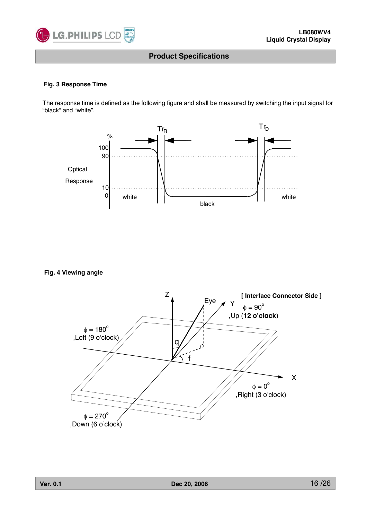

#### **Fig. 3 Response Time**

The response time is defined as the following figure and shall be measured by switching the input signal for "black" and "white".



**Fig. 4 Viewing angle**

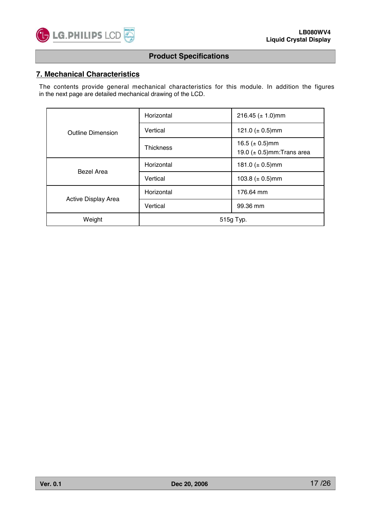

### **7. Mechanical Characteristics**

The contents provide general mechanical characteristics for this module. In addition the figures in the next page are detailed mechanical drawing of the LCD.

|                          | Horizontal       | 216.45 ( $\pm$ 1.0)mm                                  |  |  |  |
|--------------------------|------------------|--------------------------------------------------------|--|--|--|
| <b>Outline Dimension</b> | Vertical         | 121.0 ( $\pm$ 0.5)mm                                   |  |  |  |
|                          | <b>Thickness</b> | 16.5 ( $\pm$ 0.5)mm<br>19.0 $(\pm 0.5)$ mm: Trans area |  |  |  |
| Bezel Area               | Horizontal       | 181.0 ( $\pm$ 0.5)mm                                   |  |  |  |
|                          | Vertical         | 103.8 ( $\pm$ 0.5)mm                                   |  |  |  |
|                          | Horizontal       | 176.64 mm                                              |  |  |  |
| Active Display Area      | Vertical         | 99.36 mm                                               |  |  |  |
| Weight                   | 515g Typ.        |                                                        |  |  |  |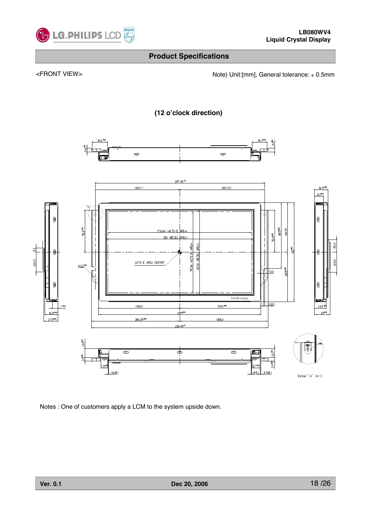

<FRONT VIEW> <https://www.matchmole.com/hotel/state/state/state/state/state/state/state/state/state/state/state/







Notes : One of customers apply a LCM to the system upside down.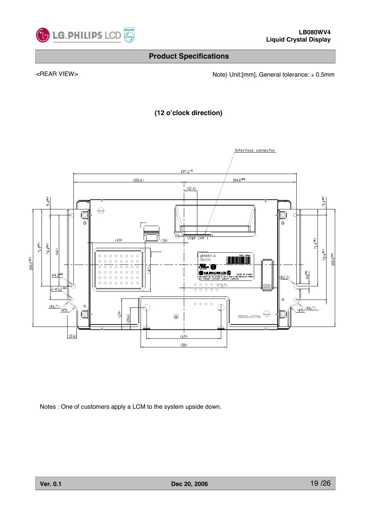

<REAR VIEW> <Note) Unit:[mm], General tolerance: ± 0.5mm

**(12 o'clock direction)**



Notes : One of customers apply a LCM to the system upside down.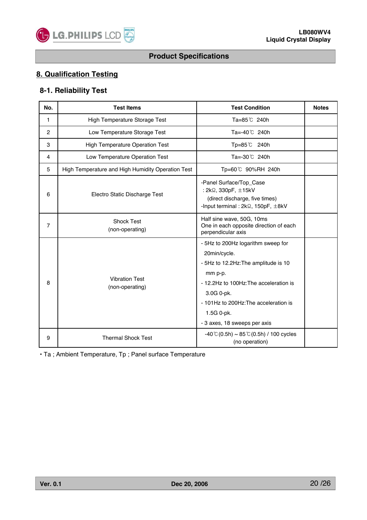

# **8. Qualification Testing**

### **8-1. Reliability Test**

| No.            | <b>Test Items</b>                                 | <b>Test Condition</b>                                                                                                                                                                                                                                | <b>Notes</b> |
|----------------|---------------------------------------------------|------------------------------------------------------------------------------------------------------------------------------------------------------------------------------------------------------------------------------------------------------|--------------|
| 1              | High Temperature Storage Test                     | Ta=85℃ 240h                                                                                                                                                                                                                                          |              |
| $\overline{2}$ | Low Temperature Storage Test                      | Ta=-40℃ 240h                                                                                                                                                                                                                                         |              |
| 3              | <b>High Temperature Operation Test</b>            | $Tp = 85^{\circ}C$ 240h                                                                                                                                                                                                                              |              |
| 4              | Low Temperature Operation Test                    | Ta=-30℃ 240h                                                                                                                                                                                                                                         |              |
| 5              | High Temperature and High Humidity Operation Test | Tp=60℃ 90%RH 240h                                                                                                                                                                                                                                    |              |
| 6              | Electro Static Discharge Test                     | -Panel Surface/Top_Case<br>: 2kΩ, 330pF, ±15kV<br>(direct discharge, five times)<br>-Input terminal: $2k\Omega$ , 150pF, $\pm 8kV$                                                                                                                   |              |
| $\overline{7}$ | <b>Shock Test</b><br>(non-operating)              | Half sine wave, 50G, 10ms<br>One in each opposite direction of each<br>perpendicular axis                                                                                                                                                            |              |
| 8              | <b>Vibration Test</b><br>(non-operating)          | - 5Hz to 200Hz logarithm sweep for<br>20min/cycle.<br>- 5Hz to 12.2Hz: The amplitude is 10<br>mm p-p.<br>- 12.2Hz to 100Hz: The acceleration is<br>3.0G 0-pk.<br>- 101Hz to 200Hz: The acceleration is<br>1.5G 0-pk.<br>- 3 axes, 18 sweeps per axis |              |
| 9              | <b>Thermal Shock Test</b>                         | $-40$ °C (0.5h) ~ 85 °C (0.5h) / 100 cycles<br>(no operation)                                                                                                                                                                                        |              |

• Ta ; Ambient Temperature, Tp ; Panel surface Temperature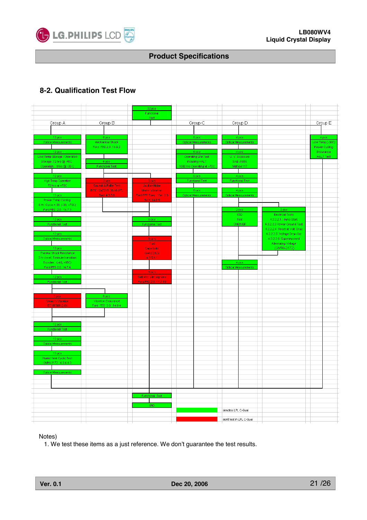

# **8-2. Qualification Test Flow**



Notes)

1. We test these items as a just reference. We don't guarantee the test results.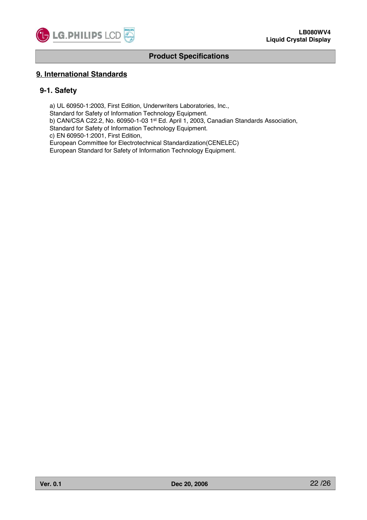

### **9. International Standards**

### **9-1. Safety**

a) UL 60950-1:2003, First Edition, Underwriters Laboratories, Inc., Standard for Safety of Information Technology Equipment. b) CAN/CSA C22.2, No. 60950-1-03 1st Ed. April 1, 2003, Canadian Standards Association,

Standard for Safety of Information Technology Equipment.

c) EN 60950-1:2001, First Edition,

European Committee for Electrotechnical Standardization(CENELEC)

European Standard for Safety of Information Technology Equipment.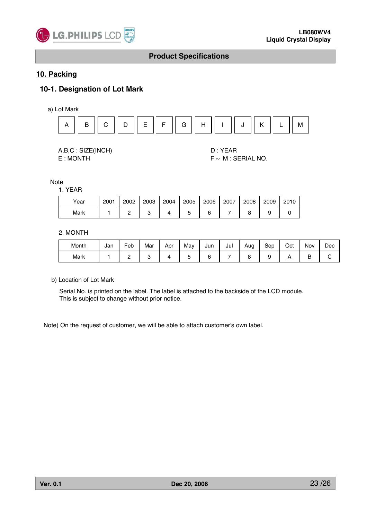

### **10. Packing**

### **10-1. Designation of Lot Mark**

a) Lot Mark



| A,B,C: SIZE(INCH) |
|-------------------|
| E:MONTH           |

D : YEAR  $F \sim M$  : SERIAL NO.

**Note** 

1. YEAR

| Year | 2001 | 2002 | 2003 | 2004 | 2005 | 2006 | 2007 | 2008 | 2009 | 2010 |
|------|------|------|------|------|------|------|------|------|------|------|
| Mark |      | _    | -    |      | ີ    |      |      |      |      |      |

#### 2. MONTH

| Month | Jan | -<br>Feb | Mar | Apr | May | Jun | Jul | Aug | Sep | Oct | Nov | Dec |
|-------|-----|----------|-----|-----|-----|-----|-----|-----|-----|-----|-----|-----|
| Mark  |     | -        |     |     |     |     |     |     |     |     | ∽   |     |

b) Location of Lot Mark

Serial No. is printed on the label. The label is attached to the backside of the LCD module. This is subject to change without prior notice.

Note) On the request of customer, we will be able to attach customer's own label.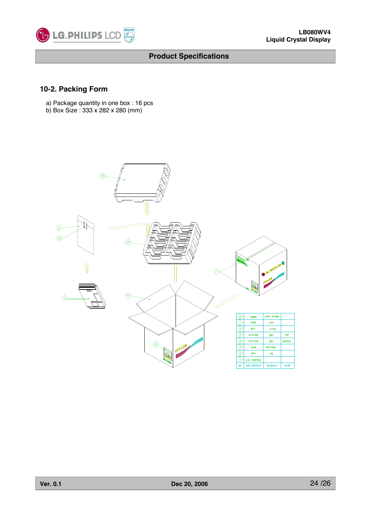

### **10-2. Packing Form**

- a) Package quantity in one box : 16 pcs
- b) Box Size : 333 x 282 x 280 (mm)

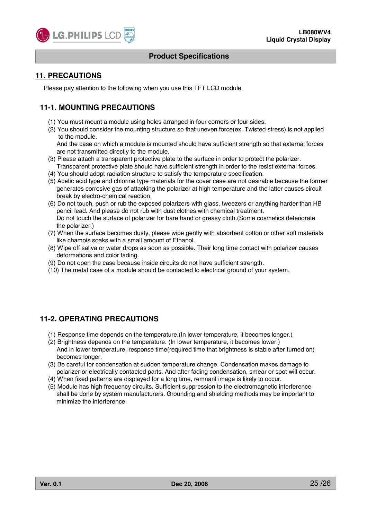

### **11. PRECAUTIONS**

Please pay attention to the following when you use this TFT LCD module.

### **11-1. MOUNTING PRECAUTIONS**

- (1) You must mount a module using holes arranged in four corners or four sides.
- (2) You should consider the mounting structure so that uneven force(ex. Twisted stress) is not applied to the module.

And the case on which a module is mounted should have sufficient strength so that external forces are not transmitted directly to the module.

- (3) Please attach a transparent protective plate to the surface in order to protect the polarizer.
- Transparent protective plate should have sufficient strength in order to the resist external forces. (4) You should adopt radiation structure to satisfy the temperature specification.
- (5) Acetic acid type and chlorine type materials for the cover case are not desirable because the former generates corrosive gas of attacking the polarizer at high temperature and the latter causes circuit break by electro-chemical reaction.
- (6) Do not touch, push or rub the exposed polarizers with glass, tweezers or anything harder than HB pencil lead. And please do not rub with dust clothes with chemical treatment. Do not touch the surface of polarizer for bare hand or greasy cloth.(Some cosmetics deteriorate the polarizer.)
- (7) When the surface becomes dusty, please wipe gently with absorbent cotton or other soft materials like chamois soaks with a small amount of Ethanol.
- (8) Wipe off saliva or water drops as soon as possible. Their long time contact with polarizer causes deformations and color fading.
- (9) Do not open the case because inside circuits do not have sufficient strength.
- (10) The metal case of a module should be contacted to electrical ground of your system.

### **11-2. OPERATING PRECAUTIONS**

- (1) Response time depends on the temperature.(In lower temperature, it becomes longer.)
- (2) Brightness depends on the temperature. (In lower temperature, it becomes lower.) And in lower temperature, response time(required time that brightness is stable after turned on) becomes longer.
- (3) Be careful for condensation at sudden temperature change. Condensation makes damage to polarizer or electrically contacted parts. And after fading condensation, smear or spot will occur.
- (4) When fixed patterns are displayed for a long time, remnant image is likely to occur.
- (5) Module has high frequency circuits. Sufficient suppression to the electromagnetic interference shall be done by system manufacturers. Grounding and shielding methods may be important to minimize the interference.